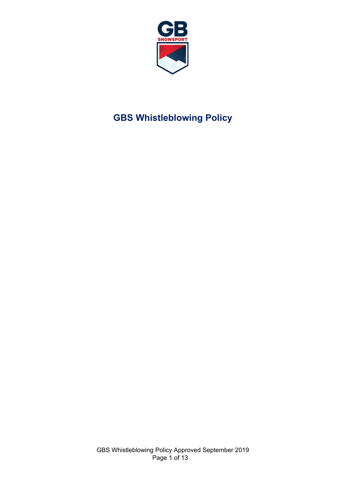

# **GBS Whistleblowing Policy**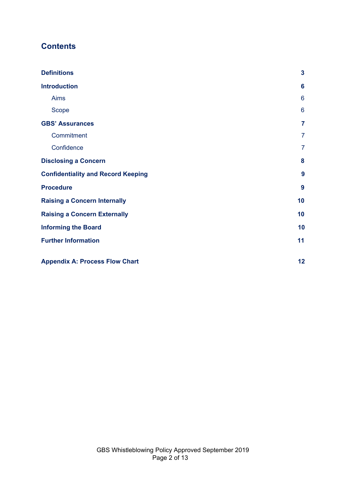### **Contents**

| <b>Definitions</b>                        | $\mathbf{3}$    |
|-------------------------------------------|-----------------|
| <b>Introduction</b>                       | $6\phantom{1}6$ |
| <b>Aims</b>                               | 6               |
| Scope                                     | 6               |
| <b>GBS' Assurances</b>                    | $\overline{7}$  |
| Commitment                                | $\overline{7}$  |
| Confidence                                | $\overline{7}$  |
| <b>Disclosing a Concern</b>               | 8               |
| <b>Confidentiality and Record Keeping</b> | 9               |
| <b>Procedure</b>                          | 9               |
| <b>Raising a Concern Internally</b>       | 10              |
| <b>Raising a Concern Externally</b>       | 10              |
| <b>Informing the Board</b>                | 10              |
| <b>Further Information</b>                | 11              |
| <b>Appendix A: Process Flow Chart</b>     | 12              |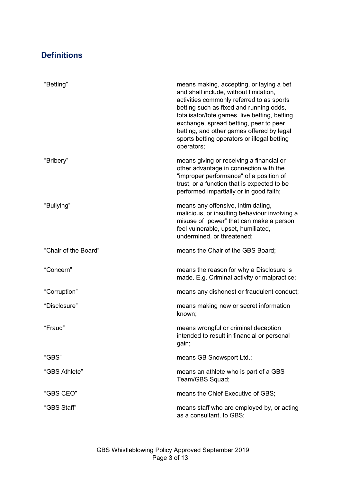# <span id="page-2-0"></span>**Definitions**

| "Betting"            | means making, accepting, or laying a bet<br>and shall include, without limitation,<br>activities commonly referred to as sports<br>betting such as fixed and running odds,<br>totalisator/tote games, live betting, betting<br>exchange, spread betting, peer to peer<br>betting, and other games offered by legal<br>sports betting operators or illegal betting<br>operators; |
|----------------------|---------------------------------------------------------------------------------------------------------------------------------------------------------------------------------------------------------------------------------------------------------------------------------------------------------------------------------------------------------------------------------|
| "Bribery"            | means giving or receiving a financial or<br>other advantage in connection with the<br>"improper performance" of a position of<br>trust, or a function that is expected to be<br>performed impartially or in good faith;                                                                                                                                                         |
| "Bullying"           | means any offensive, intimidating,<br>malicious, or insulting behaviour involving a<br>misuse of "power" that can make a person<br>feel vulnerable, upset, humiliated,<br>undermined, or threatened;                                                                                                                                                                            |
| "Chair of the Board" | means the Chair of the GBS Board;                                                                                                                                                                                                                                                                                                                                               |
| "Concern"            | means the reason for why a Disclosure is<br>made. E.g. Criminal activity or malpractice;                                                                                                                                                                                                                                                                                        |
| "Corruption"         | means any dishonest or fraudulent conduct;                                                                                                                                                                                                                                                                                                                                      |
| "Disclosure"         | means making new or secret information<br>known;                                                                                                                                                                                                                                                                                                                                |
| "Fraud"              | means wrongful or criminal deception<br>intended to result in financial or personal<br>gain;                                                                                                                                                                                                                                                                                    |
| "GBS"                | means GB Snowsport Ltd.;                                                                                                                                                                                                                                                                                                                                                        |
| "GBS Athlete"        | means an athlete who is part of a GBS<br>Team/GBS Squad;                                                                                                                                                                                                                                                                                                                        |
| "GBS CEO"            | means the Chief Executive of GBS;                                                                                                                                                                                                                                                                                                                                               |
| "GBS Staff"          | means staff who are employed by, or acting<br>as a consultant, to GBS;                                                                                                                                                                                                                                                                                                          |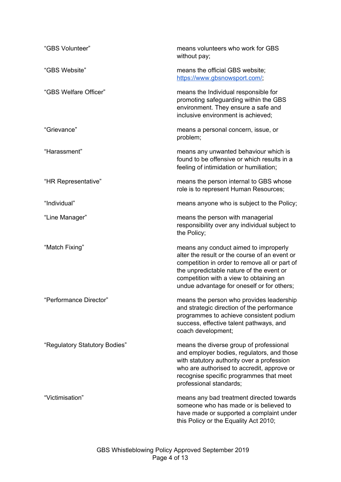| "GBS Volunteer"               | means volunteers who work for GBS<br>without pay;                                                                                                                                                                                                                            |
|-------------------------------|------------------------------------------------------------------------------------------------------------------------------------------------------------------------------------------------------------------------------------------------------------------------------|
| "GBS Website"                 | means the official GBS website;<br>https://www.gbsnowsport.com/;                                                                                                                                                                                                             |
| "GBS Welfare Officer"         | means the Individual responsible for<br>promoting safeguarding within the GBS<br>environment. They ensure a safe and<br>inclusive environment is achieved;                                                                                                                   |
| "Grievance"                   | means a personal concern, issue, or<br>problem;                                                                                                                                                                                                                              |
| "Harassment"                  | means any unwanted behaviour which is<br>found to be offensive or which results in a<br>feeling of intimidation or humiliation;                                                                                                                                              |
| "HR Representative"           | means the person internal to GBS whose<br>role is to represent Human Resources;                                                                                                                                                                                              |
| "Individual"                  | means anyone who is subject to the Policy;                                                                                                                                                                                                                                   |
| "Line Manager"                | means the person with managerial<br>responsibility over any individual subject to<br>the Policy;                                                                                                                                                                             |
| "Match Fixing"                | means any conduct aimed to improperly<br>alter the result or the course of an event or<br>competition in order to remove all or part of<br>the unpredictable nature of the event or<br>competition with a view to obtaining an<br>undue advantage for oneself or for others; |
| "Performance Director"        | means the person who provides leadership<br>and strategic direction of the performance<br>programmes to achieve consistent podium<br>success, effective talent pathways, and<br>coach development;                                                                           |
| "Regulatory Statutory Bodies" | means the diverse group of professional<br>and employer bodies, regulators, and those<br>with statutory authority over a profession<br>who are authorised to accredit, approve or<br>recognise specific programmes that meet<br>professional standards;                      |
| "Victimisation"               | means any bad treatment directed towards<br>someone who has made or is believed to<br>have made or supported a complaint under<br>this Policy or the Equality Act 2010;                                                                                                      |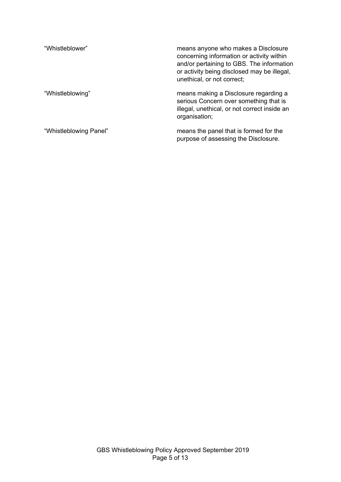| "Whistleblower"        | means anyone who makes a Disclosure<br>concerning information or activity within<br>and/or pertaining to GBS. The information<br>or activity being disclosed may be illegal,<br>unethical, or not correct; |
|------------------------|------------------------------------------------------------------------------------------------------------------------------------------------------------------------------------------------------------|
| "Whistleblowing"       | means making a Disclosure regarding a<br>serious Concern over something that is<br>illegal, unethical, or not correct inside an<br>organisation;                                                           |
| "Whistleblowing Panel" | means the panel that is formed for the<br>purpose of assessing the Disclosure.                                                                                                                             |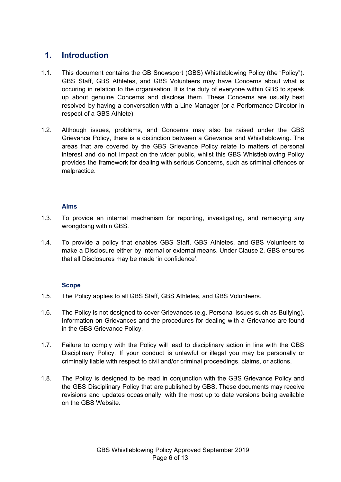#### <span id="page-5-0"></span>**1. Introduction**

- 1.1. This document contains the GB Snowsport (GBS) Whistleblowing Policy (the "Policy"). GBS Staff, GBS Athletes, and GBS Volunteers may have Concerns about what is occuring in relation to the organisation. It is the duty of everyone within GBS to speak up about genuine Concerns and disclose them. These Concerns are usually best resolved by having a conversation with a Line Manager (or a Performance Director in respect of a GBS Athlete).
- 1.2. Although issues, problems, and Concerns may also be raised under the GBS Grievance Policy, there is a distinction between a Grievance and Whistleblowing. The areas that are covered by the GBS Grievance Policy relate to matters of personal interest and do not impact on the wider public, whilst this GBS Whistleblowing Policy provides the framework for dealing with serious Concerns, such as criminal offences or malpractice.

#### <span id="page-5-1"></span>**Aims**

- 1.3. To provide an internal mechanism for reporting, investigating, and remedying any wrongdoing within GBS.
- 1.4. To provide a policy that enables GBS Staff, GBS Athletes, and GBS Volunteers to make a Disclosure either by internal or external means. Under Clause 2, GBS ensures that all Disclosures may be made 'in confidence'.

#### **Scope**

- <span id="page-5-2"></span>1.5. The Policy applies to all GBS Staff, GBS Athletes, and GBS Volunteers.
- 1.6. The Policy is not designed to cover Grievances (e.g. Personal issues such as Bullying). Information on Grievances and the procedures for dealing with a Grievance are found in the GBS Grievance Policy.
- 1.7. Failure to comply with the Policy will lead to disciplinary action in line with the GBS Disciplinary Policy. If your conduct is unlawful or illegal you may be personally or criminally liable with respect to civil and/or criminal proceedings, claims, or actions.
- 1.8. The Policy is designed to be read in conjunction with the GBS Grievance Policy and the GBS Disciplinary Policy that are published by GBS. These documents may receive revisions and updates occasionally, with the most up to date versions being available on the GBS Website.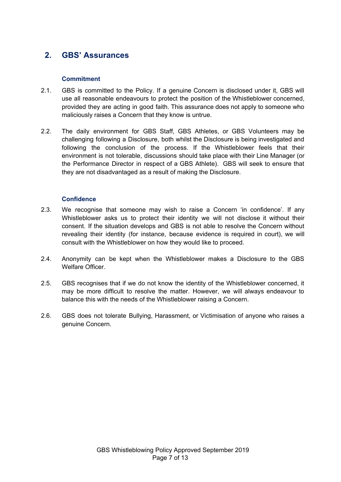### <span id="page-6-1"></span><span id="page-6-0"></span>**2. GBS' Assurances**

#### **Commitment**

- 2.1. GBS is committed to the Policy. If a genuine Concern is disclosed under it, GBS will use all reasonable endeavours to protect the position of the Whistleblower concerned, provided they are acting in good faith. This assurance does not apply to someone who maliciously raises a Concern that they know is untrue.
- 2.2. The daily environment for GBS Staff, GBS Athletes, or GBS Volunteers may be challenging following a Disclosure, both whilst the Disclosure is being investigated and following the conclusion of the process. If the Whistleblower feels that their environment is not tolerable, discussions should take place with their Line Manager (or the Performance Director in respect of a GBS Athlete). GBS will seek to ensure that they are not disadvantaged as a result of making the Disclosure.

#### **Confidence**

- <span id="page-6-2"></span>2.3. We recognise that someone may wish to raise a Concern 'in confidence'. If any Whistleblower asks us to protect their identity we will not disclose it without their consent. If the situation develops and GBS is not able to resolve the Concern without revealing their identity (for instance, because evidence is required in court), we will consult with the Whistleblower on how they would like to proceed.
- 2.4. Anonymity can be kept when the Whistleblower makes a Disclosure to the GBS Welfare Officer.
- 2.5. GBS recognises that if we do not know the identity of the Whistleblower concerned, it may be more difficult to resolve the matter. However, we will always endeavour to balance this with the needs of the Whistleblower raising a Concern.
- 2.6. GBS does not tolerate Bullying, Harassment, or Victimisation of anyone who raises a genuine Concern.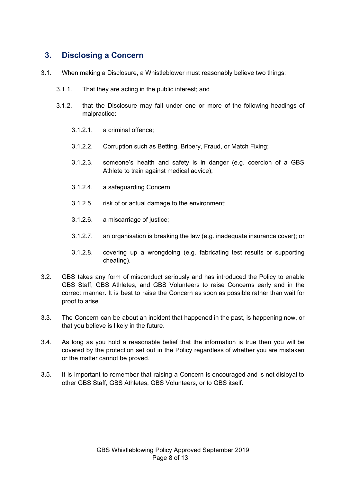#### <span id="page-7-0"></span>**3. Disclosing a Concern**

- 3.1. When making a Disclosure, a Whistleblower must reasonably believe two things:
	- 3.1.1. That they are acting in the public interest; and
	- 3.1.2. that the Disclosure may fall under one or more of the following headings of malpractice:
		- 3.1.2.1. a criminal offence;
		- 3.1.2.2. Corruption such as Betting, Bribery, Fraud, or Match Fixing;
		- 3.1.2.3. someone's health and safety is in danger (e.g. coercion of a GBS Athlete to train against medical advice);
		- 3.1.2.4. a safeguarding Concern;
		- 3.1.2.5. risk of or actual damage to the environment;
		- 3.1.2.6. a miscarriage of justice;
		- 3.1.2.7. an organisation is breaking the law (e.g. inadequate insurance cover); or
		- 3.1.2.8. covering up a wrongdoing (e.g. fabricating test results or supporting cheating).
- 3.2. GBS takes any form of misconduct seriously and has introduced the Policy to enable GBS Staff, GBS Athletes, and GBS Volunteers to raise Concerns early and in the correct manner. It is best to raise the Concern as soon as possible rather than wait for proof to arise.
- 3.3. The Concern can be about an incident that happened in the past, is happening now, or that you believe is likely in the future.
- 3.4. As long as you hold a reasonable belief that the information is true then you will be covered by the protection set out in the Policy regardless of whether you are mistaken or the matter cannot be proved.
- 3.5. It is important to remember that raising a Concern is encouraged and is not disloyal to other GBS Staff, GBS Athletes, GBS Volunteers, or to GBS itself.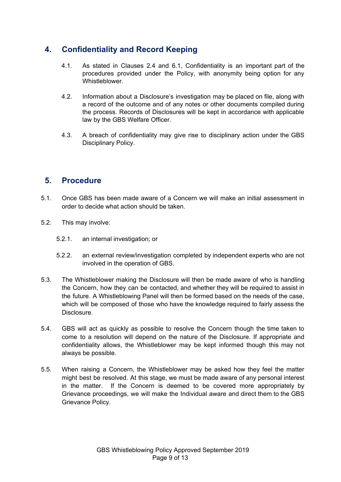### <span id="page-8-0"></span>**4. Confidentiality and Record Keeping**

- 4.1. As stated in Clauses 2.4 and 6.1, Confidentiality is an important part of the procedures provided under the Policy, with anonymity being option for any Whistleblower.
- 4.2. Information about a Disclosure's investigation may be placed on file, along with a record of the outcome and of any notes or other documents compiled during the process. Records of Disclosures will be kept in accordance with applicable law by the GBS Welfare Officer.
- 4.3. A breach of confidentiality may give rise to disciplinary action under the GBS Disciplinary Policy.

#### <span id="page-8-1"></span>**5. Procedure**

- 5.1. Once GBS has been made aware of a Concern we will make an initial assessment in order to decide what action should be taken.
- 5.2. This may involve:
	- 5.2.1. an internal investigation; or
	- 5.2.2. an external review/investigation completed by independent experts who are not involved in the operation of GBS.
- 5.3. The Whistleblower making the Disclosure will then be made aware of who is handling the Concern, how they can be contacted, and whether they will be required to assist in the future. A Whistleblowing Panel will then be formed based on the needs of the case, which will be composed of those who have the knowledge required to fairly assess the Disclosure.
- 5.4. GBS will act as quickly as possible to resolve the Concern though the time taken to come to a resolution will depend on the nature of the Disclosure. If appropriate and confidentiality allows, the Whistleblower may be kept informed though this may not always be possible.
- 5.5. When raising a Concern, the Whistleblower may be asked how they feel the matter might best be resolved. At this stage, we must be made aware of any personal interest in the matter. If the Concern is deemed to be covered more appropriately by Grievance proceedings, we will make the Individual aware and direct them to the GBS Grievance Policy.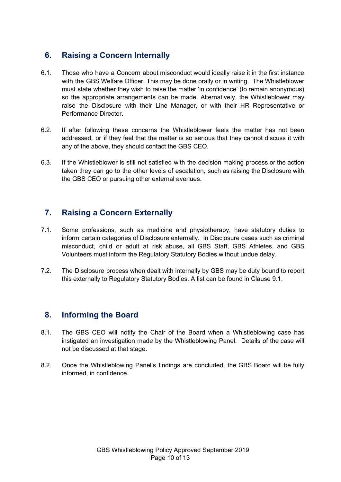#### <span id="page-9-0"></span>**6. Raising a Concern Internally**

- 6.1. Those who have a Concern about misconduct would ideally raise it in the first instance with the GBS Welfare Officer. This may be done orally or in writing. The Whistleblower must state whether they wish to raise the matter 'in confidence' (to remain anonymous) so the appropriate arrangements can be made. Alternatively, the Whistleblower may raise the Disclosure with their Line Manager, or with their HR Representative or Performance Director.
- 6.2. If after following these concerns the Whistleblower feels the matter has not been addressed, or if they feel that the matter is so serious that they cannot discuss it with any of the above, they should contact the GBS CEO.
- 6.3. If the Whistleblower is still not satisfied with the decision making process or the action taken they can go to the other levels of escalation, such as raising the Disclosure with the GBS CEO or pursuing other external avenues.

### <span id="page-9-1"></span>**7. Raising a Concern Externally**

- 7.1. Some professions, such as medicine and physiotherapy, have statutory duties to inform certain categories of Disclosure externally. In Disclosure cases such as criminal misconduct, child or adult at risk abuse, all GBS Staff, GBS Athletes, and GBS Volunteers must inform the Regulatory Statutory Bodies without undue delay.
- 7.2. The Disclosure process when dealt with internally by GBS may be duty bound to report this externally to Regulatory Statutory Bodies. A list can be found in Clause 9.1.

#### <span id="page-9-2"></span>**8. Informing the Board**

- 8.1. The GBS CEO will notify the Chair of the Board when a Whistleblowing case has instigated an investigation made by the Whistleblowing Panel. Details of the case will not be discussed at that stage.
- 8.2. Once the Whistleblowing Panel's findings are concluded, the GBS Board will be fully informed, in confidence.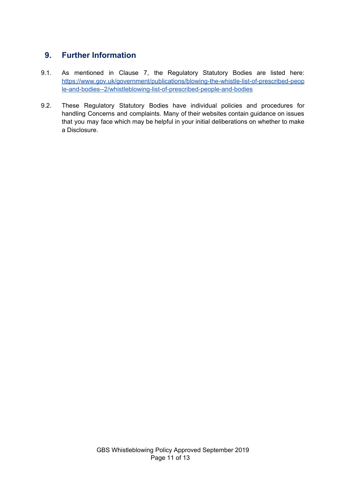#### <span id="page-10-0"></span>**9. Further Information**

- 9.1. As mentioned in Clause 7, the Regulatory Statutory Bodies are listed here: [https://www.gov.uk/government/publications/blowing-the-whistle-list-of-prescribed-peop](https://www.gov.uk/government/publications/blowing-the-whistle-list-of-prescribed-people-and-bodies--2/whistleblowing-list-of-prescribed-people-and-bodies) [le-and-bodies--2/whistleblowing-list-of-prescribed-people-and-bodies](https://www.gov.uk/government/publications/blowing-the-whistle-list-of-prescribed-people-and-bodies--2/whistleblowing-list-of-prescribed-people-and-bodies)
- 9.2. These Regulatory Statutory Bodies have individual policies and procedures for handling Concerns and complaints. Many of their websites contain guidance on issues that you may face which may be helpful in your initial deliberations on whether to make a Disclosure.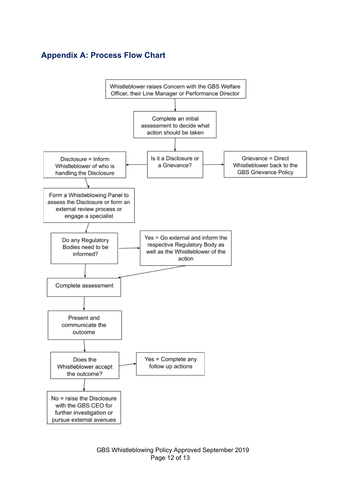## <span id="page-11-0"></span>**Appendix A: Process Flow Chart**